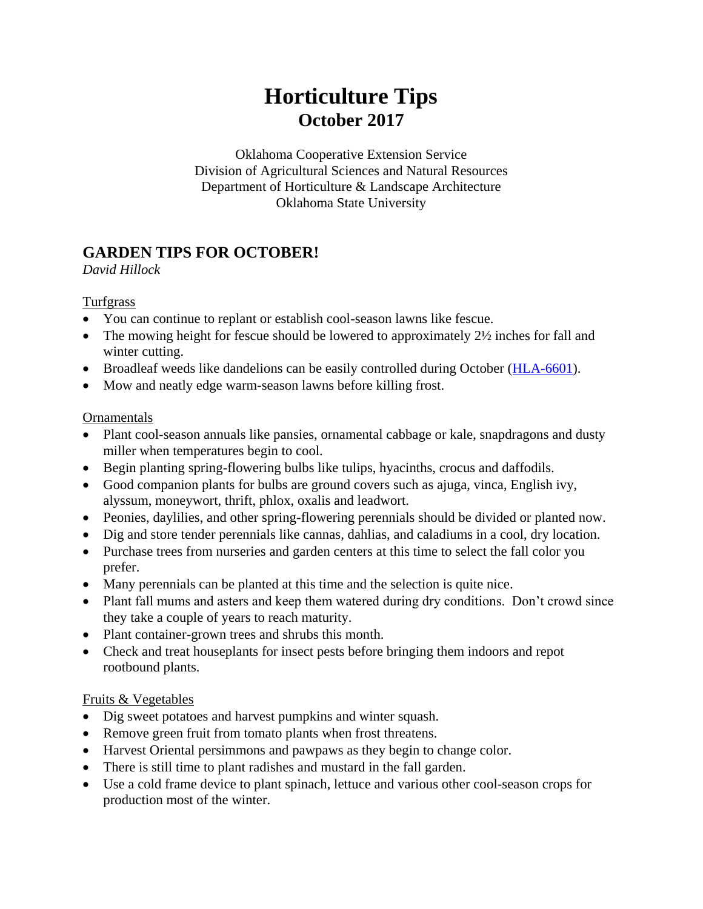# **Horticulture Tips October 2017**

Oklahoma Cooperative Extension Service Division of Agricultural Sciences and Natural Resources Department of Horticulture & Landscape Architecture Oklahoma State University

# **GARDEN TIPS FOR OCTOBER!**

#### *David Hillock*

#### Turfgrass

- You can continue to replant or establish cool-season lawns like fescue.
- The mowing height for fescue should be lowered to approximately 2½ inches for fall and winter cutting.
- Broadleaf weeds like dandelions can be easily controlled during October [\(HLA-6601\)](http://pods.dasnr.okstate.edu/docushare/dsweb/Get/Document-1339/HLA-6601web2017.pdf).
- Mow and neatly edge warm-season lawns before killing frost.

### **Ornamentals**

- Plant cool-season annuals like pansies, ornamental cabbage or kale, snapdragons and dusty miller when temperatures begin to cool.
- Begin planting spring-flowering bulbs like tulips, hyacinths, crocus and daffodils.
- Good companion plants for bulbs are ground covers such as ajuga, vinca, English ivy, alyssum, moneywort, thrift, phlox, oxalis and leadwort.
- Peonies, daylilies, and other spring-flowering perennials should be divided or planted now.
- Dig and store tender perennials like cannas, dahlias, and caladiums in a cool, dry location.
- Purchase trees from nurseries and garden centers at this time to select the fall color you prefer.
- Many perennials can be planted at this time and the selection is quite nice.
- Plant fall mums and asters and keep them watered during dry conditions. Don't crowd since they take a couple of years to reach maturity.
- Plant container-grown trees and shrubs this month.
- Check and treat houseplants for insect pests before bringing them indoors and repot rootbound plants.

### Fruits & Vegetables

- Dig sweet potatoes and harvest pumpkins and winter squash.
- Remove green fruit from tomato plants when frost threatens.
- Harvest Oriental persimmons and pawpaws as they begin to change color.
- There is still time to plant radishes and mustard in the fall garden.
- Use a cold frame device to plant spinach, lettuce and various other cool-season crops for production most of the winter.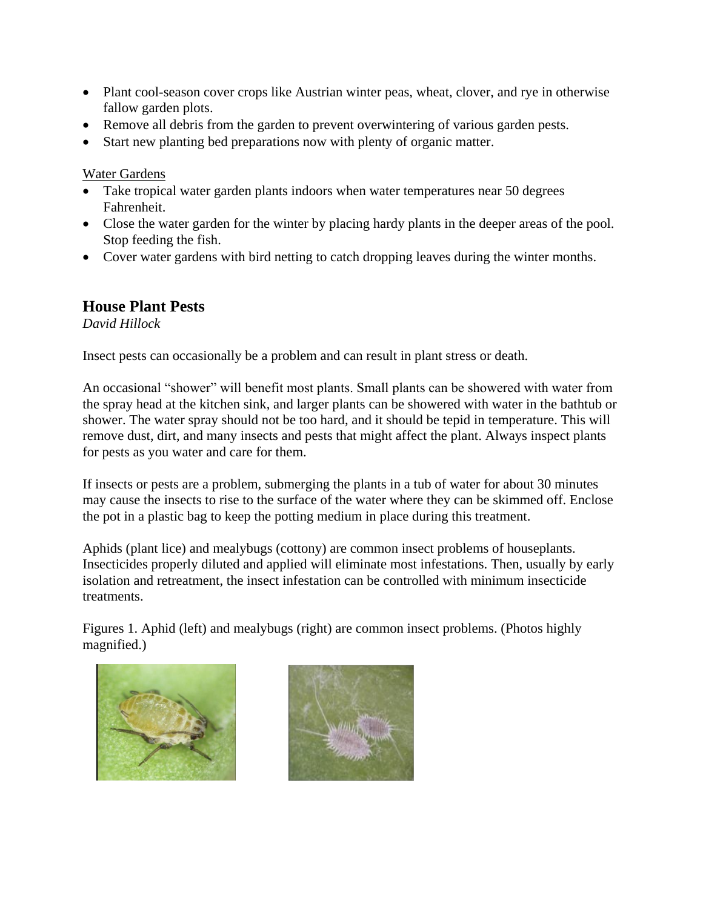- Plant cool-season cover crops like Austrian winter peas, wheat, clover, and rye in otherwise fallow garden plots.
- Remove all debris from the garden to prevent overwintering of various garden pests.
- Start new planting bed preparations now with plenty of organic matter.

Water Gardens

- Take tropical water garden plants indoors when water temperatures near 50 degrees Fahrenheit.
- Close the water garden for the winter by placing hardy plants in the deeper areas of the pool. Stop feeding the fish.
- Cover water gardens with bird netting to catch dropping leaves during the winter months.

### **House Plant Pests**

*David Hillock*

Insect pests can occasionally be a problem and can result in plant stress or death.

An occasional "shower" will benefit most plants. Small plants can be showered with water from the spray head at the kitchen sink, and larger plants can be showered with water in the bathtub or shower. The water spray should not be too hard, and it should be tepid in temperature. This will remove dust, dirt, and many insects and pests that might affect the plant. Always inspect plants for pests as you water and care for them.

If insects or pests are a problem, submerging the plants in a tub of water for about 30 minutes may cause the insects to rise to the surface of the water where they can be skimmed off. Enclose the pot in a plastic bag to keep the potting medium in place during this treatment.

Aphids (plant lice) and mealybugs (cottony) are common insect problems of houseplants. Insecticides properly diluted and applied will eliminate most infestations. Then, usually by early isolation and retreatment, the insect infestation can be controlled with minimum insecticide treatments.

Figures 1. Aphid (left) and mealybugs (right) are common insect problems. (Photos highly magnified.)



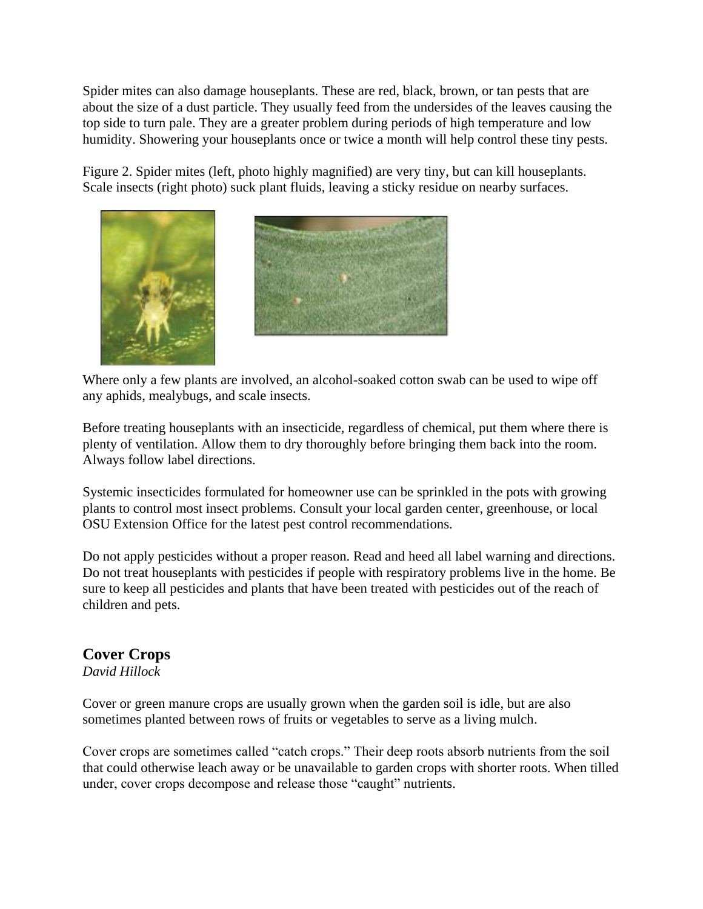Spider mites can also damage houseplants. These are red, black, brown, or tan pests that are about the size of a dust particle. They usually feed from the undersides of the leaves causing the top side to turn pale. They are a greater problem during periods of high temperature and low humidity. Showering your houseplants once or twice a month will help control these tiny pests.

Figure 2. Spider mites (left, photo highly magnified) are very tiny, but can kill houseplants. Scale insects (right photo) suck plant fluids, leaving a sticky residue on nearby surfaces.





Where only a few plants are involved, an alcohol-soaked cotton swab can be used to wipe off any aphids, mealybugs, and scale insects.

Before treating houseplants with an insecticide, regardless of chemical, put them where there is plenty of ventilation. Allow them to dry thoroughly before bringing them back into the room. Always follow label directions.

Systemic insecticides formulated for homeowner use can be sprinkled in the pots with growing plants to control most insect problems. Consult your local garden center, greenhouse, or local OSU Extension Office for the latest pest control recommendations.

Do not apply pesticides without a proper reason. Read and heed all label warning and directions. Do not treat houseplants with pesticides if people with respiratory problems live in the home. Be sure to keep all pesticides and plants that have been treated with pesticides out of the reach of children and pets.

### **Cover Crops**

*David Hillock*

Cover or green manure crops are usually grown when the garden soil is idle, but are also sometimes planted between rows of fruits or vegetables to serve as a living mulch.

Cover crops are sometimes called "catch crops." Their deep roots absorb nutrients from the soil that could otherwise leach away or be unavailable to garden crops with shorter roots. When tilled under, cover crops decompose and release those "caught" nutrients.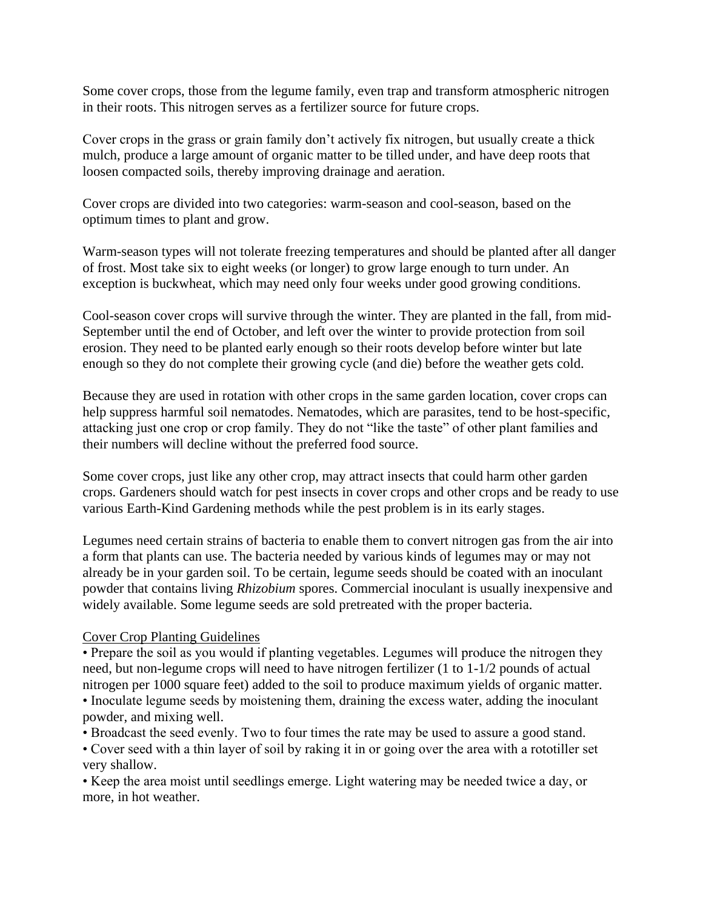Some cover crops, those from the legume family, even trap and transform atmospheric nitrogen in their roots. This nitrogen serves as a fertilizer source for future crops.

Cover crops in the grass or grain family don't actively fix nitrogen, but usually create a thick mulch, produce a large amount of organic matter to be tilled under, and have deep roots that loosen compacted soils, thereby improving drainage and aeration.

Cover crops are divided into two categories: warm-season and cool-season, based on the optimum times to plant and grow.

Warm-season types will not tolerate freezing temperatures and should be planted after all danger of frost. Most take six to eight weeks (or longer) to grow large enough to turn under. An exception is buckwheat, which may need only four weeks under good growing conditions.

Cool-season cover crops will survive through the winter. They are planted in the fall, from mid-September until the end of October, and left over the winter to provide protection from soil erosion. They need to be planted early enough so their roots develop before winter but late enough so they do not complete their growing cycle (and die) before the weather gets cold.

Because they are used in rotation with other crops in the same garden location, cover crops can help suppress harmful soil nematodes. Nematodes, which are parasites, tend to be host-specific, attacking just one crop or crop family. They do not "like the taste" of other plant families and their numbers will decline without the preferred food source.

Some cover crops, just like any other crop, may attract insects that could harm other garden crops. Gardeners should watch for pest insects in cover crops and other crops and be ready to use various Earth-Kind Gardening methods while the pest problem is in its early stages.

Legumes need certain strains of bacteria to enable them to convert nitrogen gas from the air into a form that plants can use. The bacteria needed by various kinds of legumes may or may not already be in your garden soil. To be certain, legume seeds should be coated with an inoculant powder that contains living *Rhizobium* spores. Commercial inoculant is usually inexpensive and widely available. Some legume seeds are sold pretreated with the proper bacteria.

#### Cover Crop Planting Guidelines

• Prepare the soil as you would if planting vegetables. Legumes will produce the nitrogen they need, but non-legume crops will need to have nitrogen fertilizer (1 to 1-1/2 pounds of actual nitrogen per 1000 square feet) added to the soil to produce maximum yields of organic matter. • Inoculate legume seeds by moistening them, draining the excess water, adding the inoculant powder, and mixing well.

• Broadcast the seed evenly. Two to four times the rate may be used to assure a good stand.

• Cover seed with a thin layer of soil by raking it in or going over the area with a rototiller set very shallow.

• Keep the area moist until seedlings emerge. Light watering may be needed twice a day, or more, in hot weather.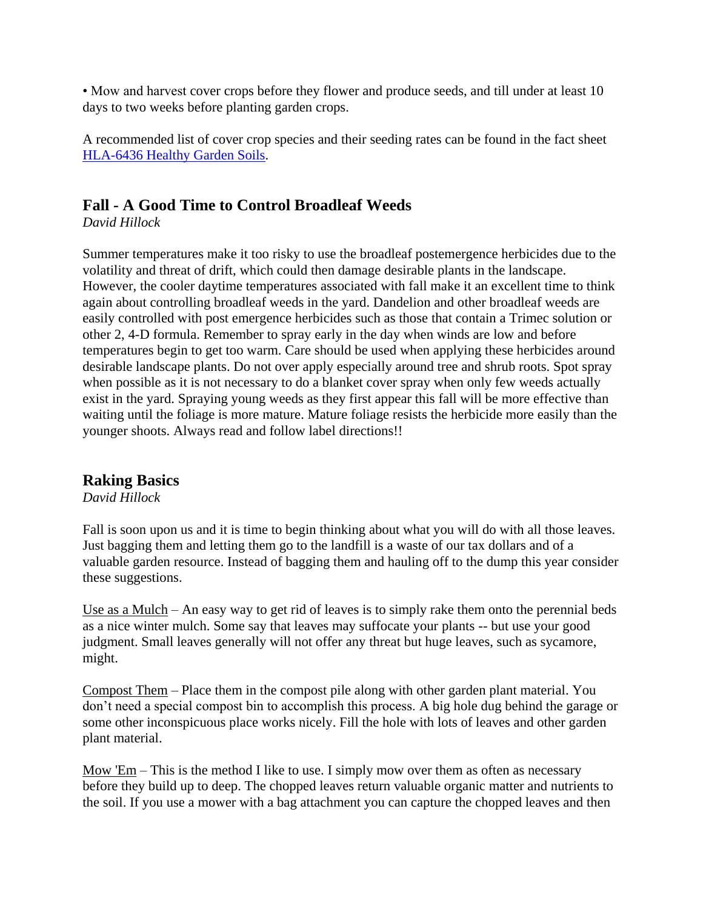• Mow and harvest cover crops before they flower and produce seeds, and till under at least 10 days to two weeks before planting garden crops.

A recommended list of cover crop species and their seeding rates can be found in the fact sheet [HLA-6436 Healthy Garden Soils.](http://pods.dasnr.okstate.edu/docushare/dsweb/Get/Document-1095/HLA-6436web2015.pdf)

# **Fall - A Good Time to Control Broadleaf Weeds**

*David Hillock*

Summer temperatures make it too risky to use the broadleaf postemergence herbicides due to the volatility and threat of drift, which could then damage desirable plants in the landscape. However, the cooler daytime temperatures associated with fall make it an excellent time to think again about controlling broadleaf weeds in the yard. Dandelion and other broadleaf weeds are easily controlled with post emergence herbicides such as those that contain a Trimec solution or other 2, 4-D formula. Remember to spray early in the day when winds are low and before temperatures begin to get too warm. Care should be used when applying these herbicides around desirable landscape plants. Do not over apply especially around tree and shrub roots. Spot spray when possible as it is not necessary to do a blanket cover spray when only few weeds actually exist in the yard. Spraying young weeds as they first appear this fall will be more effective than waiting until the foliage is more mature. Mature foliage resists the herbicide more easily than the younger shoots. Always read and follow label directions!!

### **Raking Basics**

*David Hillock*

Fall is soon upon us and it is time to begin thinking about what you will do with all those leaves. Just bagging them and letting them go to the landfill is a waste of our tax dollars and of a valuable garden resource. Instead of bagging them and hauling off to the dump this year consider these suggestions.

Use as a Mulch – An easy way to get rid of leaves is to simply rake them onto the perennial beds as a nice winter mulch. Some say that leaves may suffocate your plants -- but use your good judgment. Small leaves generally will not offer any threat but huge leaves, such as sycamore, might.

Compost Them – Place them in the compost pile along with other garden plant material. You don't need a special compost bin to accomplish this process. A big hole dug behind the garage or some other inconspicuous place works nicely. Fill the hole with lots of leaves and other garden plant material.

Mow  $E_m$  – This is the method I like to use. I simply mow over them as often as necessary before they build up to deep. The chopped leaves return valuable organic matter and nutrients to the soil. If you use a mower with a bag attachment you can capture the chopped leaves and then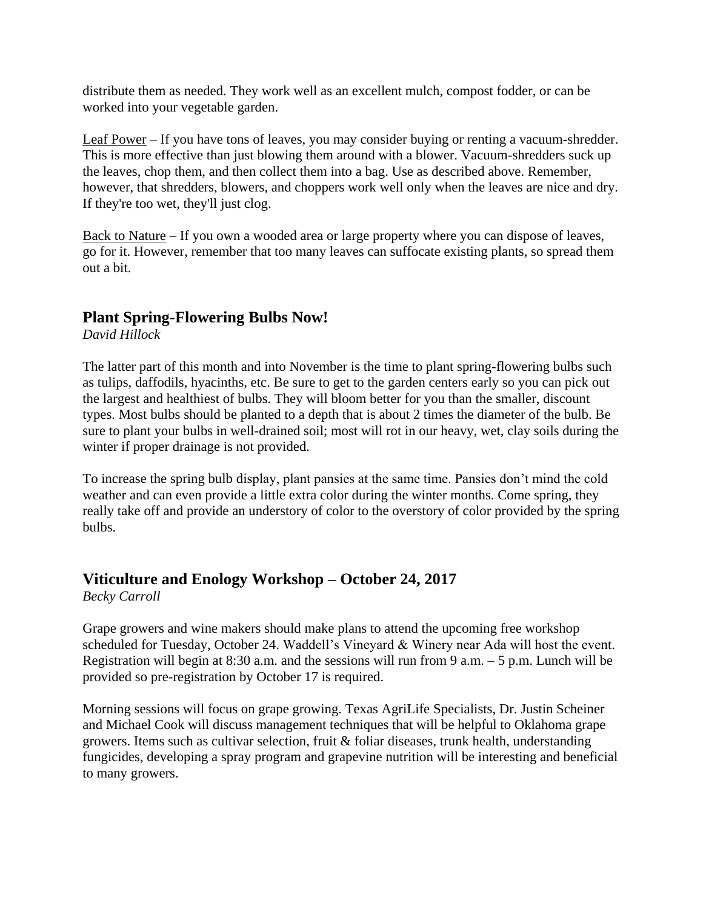distribute them as needed. They work well as an excellent mulch, compost fodder, or can be worked into your vegetable garden.

Leaf Power – If you have tons of leaves, you may consider buying or renting a vacuum-shredder. This is more effective than just blowing them around with a blower. Vacuum-shredders suck up the leaves, chop them, and then collect them into a bag. Use as described above. Remember, however, that shredders, blowers, and choppers work well only when the leaves are nice and dry. If they're too wet, they'll just clog.

Back to Nature – If you own a wooded area or large property where you can dispose of leaves, go for it. However, remember that too many leaves can suffocate existing plants, so spread them out a bit.

### **Plant Spring-Flowering Bulbs Now!**

*David Hillock*

The latter part of this month and into November is the time to plant spring-flowering bulbs such as tulips, daffodils, hyacinths, etc. Be sure to get to the garden centers early so you can pick out the largest and healthiest of bulbs. They will bloom better for you than the smaller, discount types. Most bulbs should be planted to a depth that is about 2 times the diameter of the bulb. Be sure to plant your bulbs in well-drained soil; most will rot in our heavy, wet, clay soils during the winter if proper drainage is not provided.

To increase the spring bulb display, plant pansies at the same time. Pansies don't mind the cold weather and can even provide a little extra color during the winter months. Come spring, they really take off and provide an understory of color to the overstory of color provided by the spring bulbs.

### **Viticulture and Enology Workshop – October 24, 2017**

*Becky Carroll*

Grape growers and wine makers should make plans to attend the upcoming free workshop scheduled for Tuesday, October 24. Waddell's Vineyard & Winery near Ada will host the event. Registration will begin at 8:30 a.m. and the sessions will run from 9 a.m.  $-5$  p.m. Lunch will be provided so pre-registration by October 17 is required.

Morning sessions will focus on grape growing. Texas AgriLife Specialists, Dr. Justin Scheiner and Michael Cook will discuss management techniques that will be helpful to Oklahoma grape growers. Items such as cultivar selection, fruit & foliar diseases, trunk health, understanding fungicides, developing a spray program and grapevine nutrition will be interesting and beneficial to many growers.